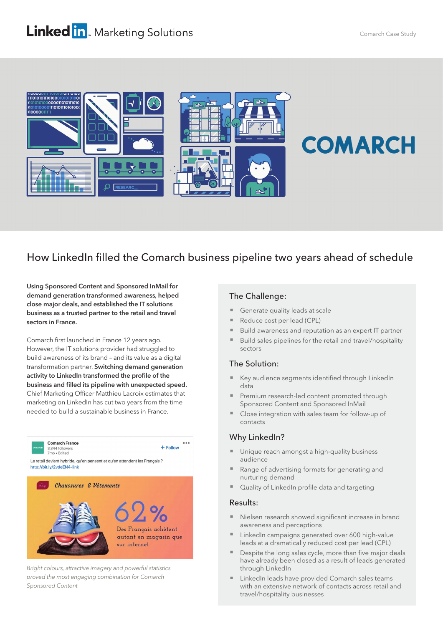## **Linked in**. Marketing Solutions



# **COMARCH**

### How LinkedIn filled the Comarch business pipeline two years ahead of schedule

Using Sponsored Content and Sponsored InMail for demand generation transformed awareness, helped close major deals, and established the IT solutions business as a trusted partner to the retail and travel sectors in France.

Comarch first launched in France 12 years ago. However, the IT solutions provider had struggled to build awareness of its brand – and its value as a digital transformation partner. Switching demand generation activity to LinkedIn transformed the profile of the business and filled its pipeline with unexpected speed. Chief Marketing Officer Matthieu Lacroix estimates that marketing on LinkedIn has cut two years from the time needed to build a sustainable business in France.



Bright colours, attractive imagery and powerful statistics proved the most engaging combination for Comarch Sponsored Content

#### The Challenge:

- Generate quality leads at scale
- Reduce cost per lead (CPL)
- Build awareness and reputation as an expert IT partner
- Build sales pipelines for the retail and travel/hospitality sectors

#### The Solution:

- Key audience segments identified through LinkedIn data
- Premium research-led content promoted through Sponsored Content and Sponsored InMail
- Close integration with sales team for follow-up of contacts

#### Why LinkedIn?

- Unique reach amongst a high-quality business audience
- Range of advertising formats for generating and nurturing demand
- Quality of LinkedIn profile data and targeting

#### Results:

- Nielsen research showed significant increase in brand awareness and perceptions
- LinkedIn campaigns generated over 600 high-value leads at a dramatically reduced cost per lead (CPL)
- Despite the long sales cycle, more than five major deals have already been closed as a result of leads generated through LinkedIn
- LinkedIn leads have provided Comarch sales teams with an extensive network of contacts across retail and travel/hospitality businesses